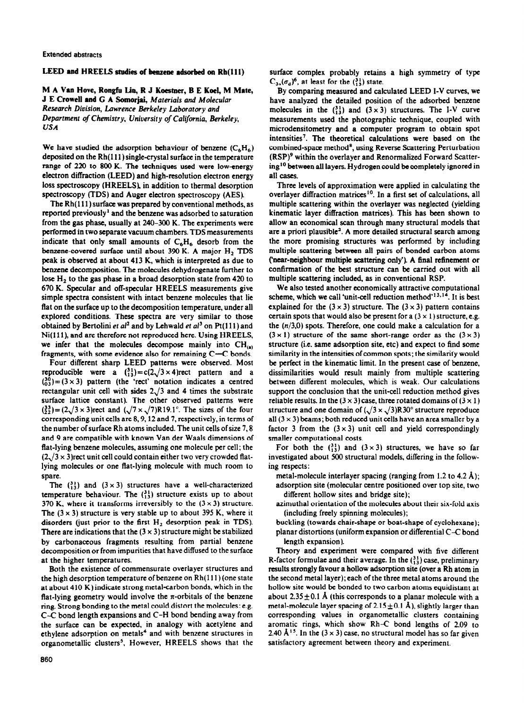#### Extended abstracts

# **LEED and HREELS studies of benzene adsorbed on Rh(111)**

M A **Van Hove, Ron@ lio, R J Koestner, B E Kod,** M **Mate, J E Crowell and G A** Somorjai, Materials and Molecular

*Research Division, Lawrence Berkeley Luborotory and Department of Chemistry, University of California, Berkeley, USA* 

We have studied the adsorption behaviour of benzene  $(C_6H_6)$ deposited on the Rh(111) single-crystal surface in the temperature range of 220 to 800 K. The techniques used were low-energy electron diffraction (LEED) and high-resolution electron energy loss spectroscopy (HREELS), in addition to thermal desorption spectroscopy (TDS) and Auger electron spectroscopy (AES).

The Rh(l11) **surface was** prepared by conventional methods, as reported previously' and the benzene was adsorbed to saturation from the gas phase, usually at 240-300 K. The experiments were performed in two separate vacuum chambers. TDS measurements indicate that only small amounts of  $C_6H_6$  desorb from the benzene-covered surface until about 390 K. A major  $H_2$  TDS peak is observed at about 413 K, which is interpreted as due to benzene decomposition. The molecules dehydrogenate further to lose H, to the gas phase in a broad desorption state from 420 to 670 K. Specular and off-specular HREELS measurements give simple spectra consistent with intact benzene molecules that lie flat on the surface up to the decomposition temperature, under all explored conditions. These spectra are very similar to those obtained by Bertolini et al<sup>2</sup> and by Lehwald et al<sup>3</sup> on Pt(111) and Ni( **1 1 1** ), and are therefore not reproduced **here.** Using HREELS, we infer that the molecules decompose mainly into  $CH_{(n)}$ fragments, with some evidence also for remaining  $C-C$  bonds.

Four different sharp LEED patterns were observed. Most reproducible were a  $\binom{31}{13} = c(2\sqrt{3} \times 4)$ rect pattern and a  $\binom{30}{03}$  = (3 x 3) pattern (the 'rect' notation indicates a centred rectangular unit cell with sides  $2\sqrt{3}$  and 4 times the substrate surface lattice constant). The other observed patterns were  $\binom{33}{22}$  = (2 $\sqrt{3}$  x 3)rect and ( $\sqrt{7}$  x  $\sqrt{7}$ )R19.1°. The sizes of the four corresponding unit cells are 8,9,12 and 7, respectively, in terms of the number of surface Rh atoms included. The unit cells of size 7,8 and 9 are compatible with known Van der Waals dimensions of flat-lying benzene molecules, assuming one molecule per cell; the  $(2\sqrt{3} \times 3)$ rect unit cell could contain either two very crowded flatlying molecules or one flat-lying molecule with much room to spare.

The  $\binom{31}{13}$  and  $(3 \times 3)$  structures have a well-characterized temperature behaviour. The  $\binom{31}{13}$  structure exists up to about 370 K, where it transforms irreversibly to the  $(3 \times 3)$  structure. The  $(3 \times 3)$  structure is very stable up to about 395 K, where it disorders (just prior to the first H, desorption peak in TDS). There are indications that the  $(3 \times 3)$  structure might be stabilized by carbonaceous fragments resulting from partial benzene decomposition or from impurities that have diffused to the surface at the higher temperatures.

Both the existence of commensurate overlayer structures and the high desorption temperature of benzene on Rh( 111) (one state at about 410 K) indicate strong metal-carbon bonds, which in the flat-lying geometry would involve the  $\pi$ -orbitals of the benzene ring. Strong bonding to the metal could distort the molecules: e.g. C-C bond length expansions and C-H bond bending away from the surface can be expected, in analogy with acetylene and ethylene adsorption on metals\* and with benzene structures in organometallic clusters', However, HREELS shows that the **surface** complex probably retains a high symmetry of type  $C_{3v}(\sigma_d)^6$ , at least for the  $\binom{31}{13}$  state.

By comparing measured and calculated LEED I-V curves, we have analyzed the detailed position of the adsorbed benzene molecules in the  $\binom{31}{13}$  and  $(3 \times 3)$  structures. The I-V curve measurements used the photographic technique, coupled with microdensitometry and a computer program to obtain spot intensities'. The theoretical calculations were based on the combined-space method\*, using Reverse Scattering Perturbation (RSP)9 within the overlayer and Renormalized Forward Scattering<sup>10</sup> between all layers. Hydrogen could be completely ignored in all cases.

Three levels of approximation were applied in calculating the overlayer diffraction matrices<sup>10</sup>. In a first set of calculations, all multiple scattering within the overlayer was neglected (yielding kinematic layer diffraction matrices). This has been shown to allow an economical scan through many structural models that are a priori plausible<sup>2</sup>. A more detailed structural search among the more promising structures was performed by including multiple scattering between all pairs of bonded carbon atoms ('near-neighbour multipk scattering only'). A tinal refinement or confirmation of the best structure can be carried out with all multiple scattering included, as in conventional RSP.

We also tested another economically attractive computational scheme, which we call 'unit-cell reduction method'<sup>13,14</sup>. It is best explained for the  $(3 \times 3)$  structure. The  $(3 \times 3)$  pattern contains certain spots that would also be present for a  $(3 \times 1)$  structure, e.g. the  $(n/3,0)$  spots. Therefore, one could make a calculation for a  $(3 \times 1)$  structure of the same short-range order as the  $(3 \times 3)$ structure (i.e. same adsorption site, etc) and expect to find some similarity in the intensities of common spots; the similarity would be perfect in the kinematic limit. In the present case of benzene, dissimilarities would result mainly from multiple scattering between different molecules, which is weak. Our calculations support the conclusion that the unit-cell reduction method gives reliable results. In the  $(3 \times 3)$  case, three rotated domains of  $(3 \times 1)$ structure and one domain of  $(\sqrt{3} \times \sqrt{3})$ R30° structure reproduce all  $(3 \times 3)$  beams; both reduced unit cells have an area smaller by a factor 3 from the  $(3 \times 3)$  unit cell and yield correspondingly smaller computational costs.

For both the  $\binom{31}{13}$  and  $(3 \times 3)$  structures, we have so far investigated about 500 structural models, dilfering in the following respects:

- metal-molecule interlayer spacing (ranging from 1.2 to 4.2 Å); adsorption site (molecular centre positioned over top site, two different hollow sites and bridge site);
- azimuthal orientation of the molecules about their six-fold axis (including freely spinning molecules);
- buckling (towards chair-shape or boat-shape of cyclohexane); planar distortions (uniform expansion or differential  $C-C$  bond length expansion).

Theory and experiment were compared with five different R-factor formulae and their average. In the  $\binom{31}{13}$  case, preliminary results strongly favour a hollow adsorption site (over a Rh atom in the second metal layer); each of the three metal atoms around the hollow site would be bonded to two carbon atoms equidistant at about 2.35  $\pm$  0.1 Å (this corresponds to a planar molecule with a metal-molecule layer spacing of  $2.15 \pm 0.1$  Å), slightly larger than corresponding values in organometallic clusters containing aromatic rings, which show Rh-C bond lengths of 2.09 to 2.40 Å<sup>15</sup>. In the  $(3 \times 3)$  case, no structural model has so far given satisfactory agreement between theory and experiment.